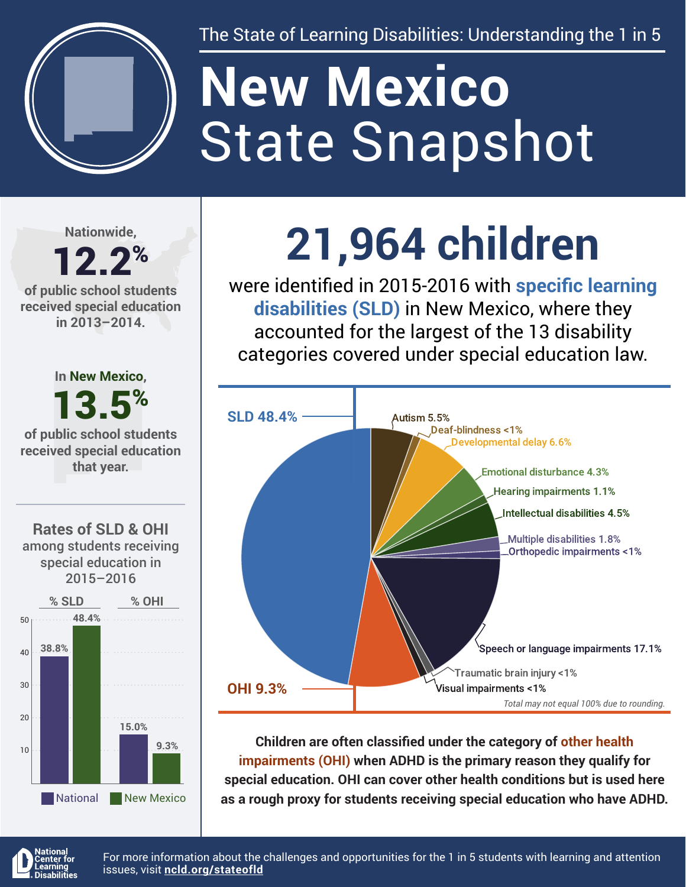

The State of Learning Disabilities: Understanding the 1 in 5

# State Snapshot **New Mexico**

**Nationwide,**

#### 12.2% **of public school students received special education in 2013–2014.**



**9.3%**

National New Mexico

## **21,964 children**

were identified in 2015-2016 with **specific learning disabilities (SLD)** in New Mexico, where they accounted for the largest of the 13 disability categories covered under special education law.



**Children are often classified under the category of other health impairments (OHI) when ADHD is the primary reason they qualify for special education. OHI can cover other health conditions but is used here as a rough proxy for students receiving special education who have ADHD.**



10

For more information about the challenges and opportunities for the 1 in 5 students with learning and attention issues, visit **[ncld.org/stateofld](http://ncld.org/stateofld)**